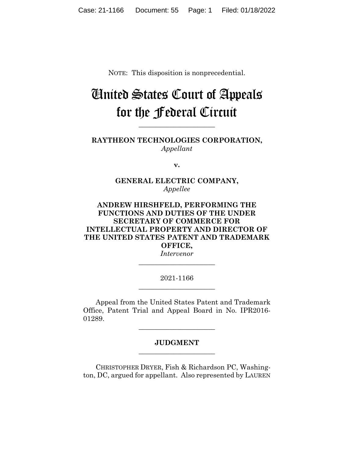NOTE: This disposition is nonprecedential.

# United States Court of Appeals for the Federal Circuit

**RAYTHEON TECHNOLOGIES CORPORATION,** *Appellant*

**\_\_\_\_\_\_\_\_\_\_\_\_\_\_\_\_\_\_\_\_\_\_** 

**v.**

### **GENERAL ELECTRIC COMPANY,** *Appellee*

## **ANDREW HIRSHFELD, PERFORMING THE FUNCTIONS AND DUTIES OF THE UNDER SECRETARY OF COMMERCE FOR INTELLECTUAL PROPERTY AND DIRECTOR OF THE UNITED STATES PATENT AND TRADEMARK OFFICE,**

*Intervenor* **\_\_\_\_\_\_\_\_\_\_\_\_\_\_\_\_\_\_\_\_\_\_** 

#### 2021-1166 **\_\_\_\_\_\_\_\_\_\_\_\_\_\_\_\_\_\_\_\_\_\_**

Appeal from the United States Patent and Trademark Office, Patent Trial and Appeal Board in No. IPR2016- 01289.

#### **JUDGMENT \_\_\_\_\_\_\_\_\_\_\_\_\_\_\_\_\_\_\_\_\_\_**

**\_\_\_\_\_\_\_\_\_\_\_\_\_\_\_\_\_\_\_\_\_\_** 

CHRISTOPHER DRYER, Fish & Richardson PC, Washington, DC, argued for appellant. Also represented by LAUREN